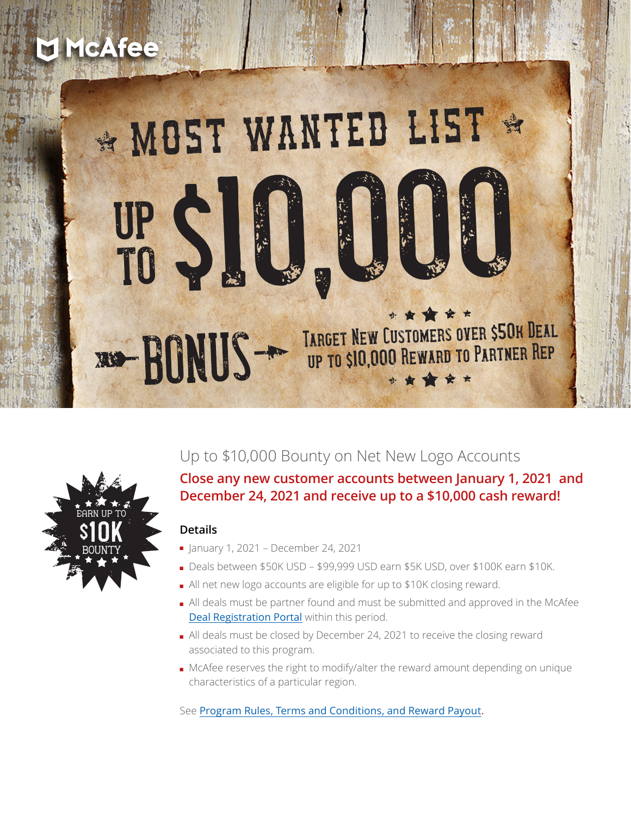# **DI McAfee**



## Up to \$10,000 Bounty on Net New Logo Accounts



## **Close any new customer accounts between January 1, 2021 and December 24, 2021 and receive up to a \$10,000 cash reward!**

## **Details**

- January 1, 2021 December 24, 2021
- Deals between \$50K USD \$99,999 USD earn \$5K USD, over \$100K earn \$10K.
- All net new logo accounts are eligible for up to \$10K closing reward.
- All deals must be partner found and must be submitted and approved in the McAfee [Deal Registration Portal](https://mcafeepartners.mcafee.com/?rdir=/sfdc_deal_registration/register_deal.aspx) within this period.
- All deals must be closed by December 24, 2021 to receive the closing reward associated to this program.
- McAfee reserves the right to modify/alter the reward amount depending on unique characteristics of a particular region.

See [Program Rules, Terms and Conditions, and Reward Payout](#page-1-0).